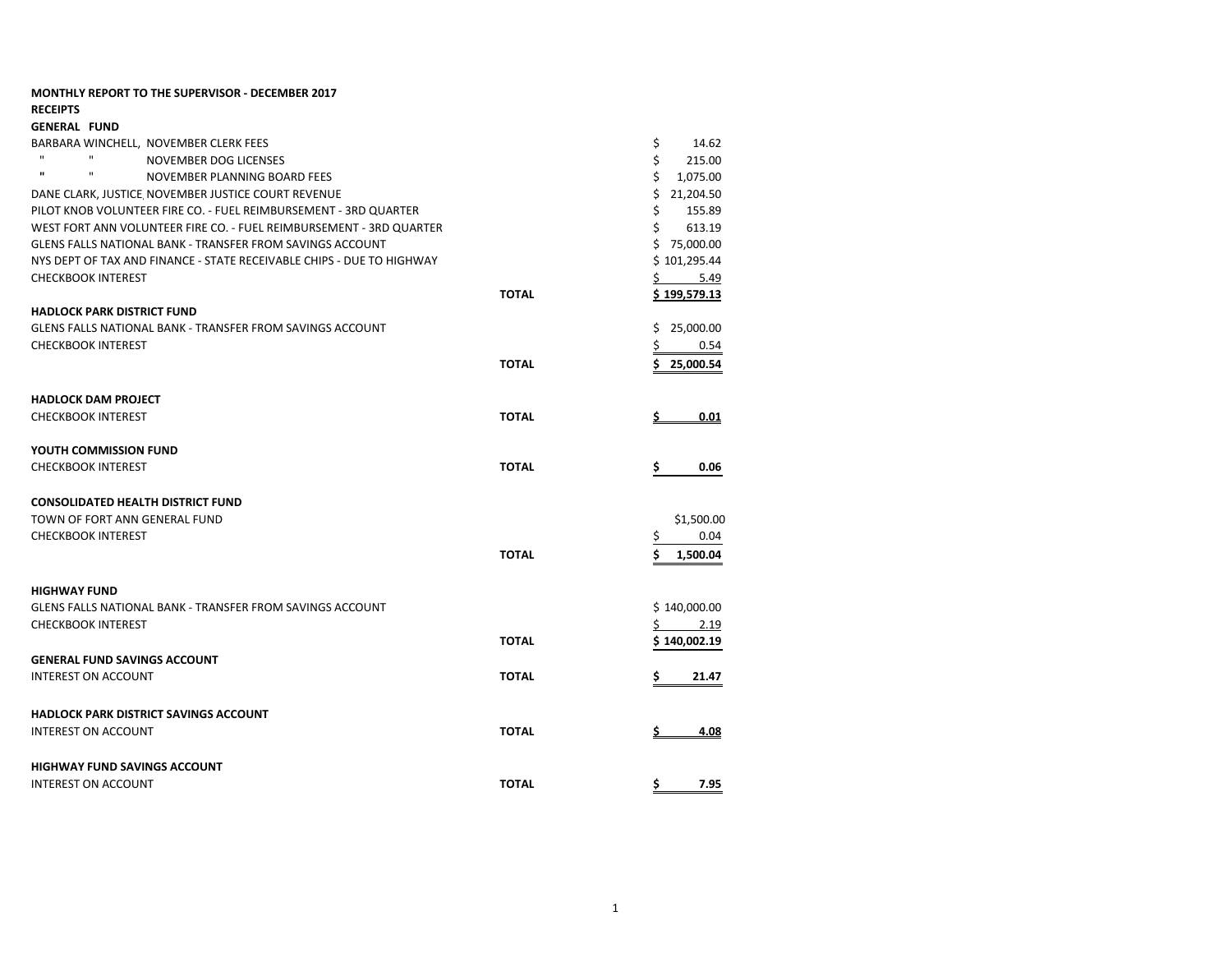| <b>MONTHLY REPORT TO THE SUPERVISOR - DECEMBER 2017</b>               |              |                      |
|-----------------------------------------------------------------------|--------------|----------------------|
| <b>RECEIPTS</b>                                                       |              |                      |
| <b>GENERAL FUND</b>                                                   |              |                      |
| BARBARA WINCHELL, NOVEMBER CLERK FEES                                 |              | \$<br>14.62          |
| $\mathbf{H}$<br>NOVEMBER DOG LICENSES                                 |              | \$<br>215.00         |
| $\mathbf{u}$<br>$\mathbf{H}$<br>NOVEMBER PLANNING BOARD FEES          |              | \$<br>1,075.00       |
| DANE CLARK, JUSTICE NOVEMBER JUSTICE COURT REVENUE                    |              | \$21,204.50          |
| PILOT KNOB VOLUNTEER FIRE CO. - FUEL REIMBURSEMENT - 3RD QUARTER      |              | \$<br>155.89         |
| WEST FORT ANN VOLUNTEER FIRE CO. - FUEL REIMBURSEMENT - 3RD QUARTER   |              | Ś.<br>613.19         |
| <b>GLENS FALLS NATIONAL BANK - TRANSFER FROM SAVINGS ACCOUNT</b>      |              | \$75,000.00          |
| NYS DEPT OF TAX AND FINANCE - STATE RECEIVABLE CHIPS - DUE TO HIGHWAY |              | \$101,295.44         |
| <b>CHECKBOOK INTEREST</b>                                             |              | $5 \quad 5.49$       |
|                                                                       | <b>TOTAL</b> | <u>\$ 199,579.13</u> |
| <b>HADLOCK PARK DISTRICT FUND</b>                                     |              |                      |
| GLENS FALLS NATIONAL BANK - TRANSFER FROM SAVINGS ACCOUNT             |              | 25,000.00<br>\$      |
| <b>CHECKBOOK INTEREST</b>                                             |              | \$<br>0.54           |
|                                                                       | <b>TOTAL</b> | \$25,000.54          |
|                                                                       |              |                      |
| <b>HADLOCK DAM PROJECT</b>                                            |              |                      |
| <b>CHECKBOOK INTEREST</b>                                             | <b>TOTAL</b> | 0.01                 |
|                                                                       |              |                      |
| YOUTH COMMISSION FUND                                                 |              |                      |
| <b>CHECKBOOK INTEREST</b>                                             | <b>TOTAL</b> | 0.06<br>Ş            |
|                                                                       |              |                      |
| <b>CONSOLIDATED HEALTH DISTRICT FUND</b>                              |              |                      |
| TOWN OF FORT ANN GENERAL FUND                                         |              | \$1,500.00           |
| <b>CHECKBOOK INTEREST</b>                                             |              | 0.04<br>Ş            |
|                                                                       | <b>TOTAL</b> | Ś<br>1,500.04        |
|                                                                       |              |                      |
| <b>HIGHWAY FUND</b>                                                   |              |                      |
| <b>GLENS FALLS NATIONAL BANK - TRANSFER FROM SAVINGS ACCOUNT</b>      |              | \$140,000.00         |
| <b>CHECKBOOK INTEREST</b>                                             |              | \$<br>2.19           |
|                                                                       | <b>TOTAL</b> | \$140,002.19         |
| <b>GENERAL FUND SAVINGS ACCOUNT</b>                                   |              |                      |
| <b>INTEREST ON ACCOUNT</b>                                            | <b>TOTAL</b> | \$.<br>21.47         |
|                                                                       |              |                      |
| <b>HADLOCK PARK DISTRICT SAVINGS ACCOUNT</b>                          |              |                      |
| <b>INTEREST ON ACCOUNT</b>                                            | <b>TOTAL</b> | 4.08                 |
|                                                                       |              |                      |
|                                                                       |              |                      |
| <b>HIGHWAY FUND SAVINGS ACCOUNT</b>                                   |              |                      |
| <b>INTEREST ON ACCOUNT</b>                                            | <b>TOTAL</b> | \$<br>7.95           |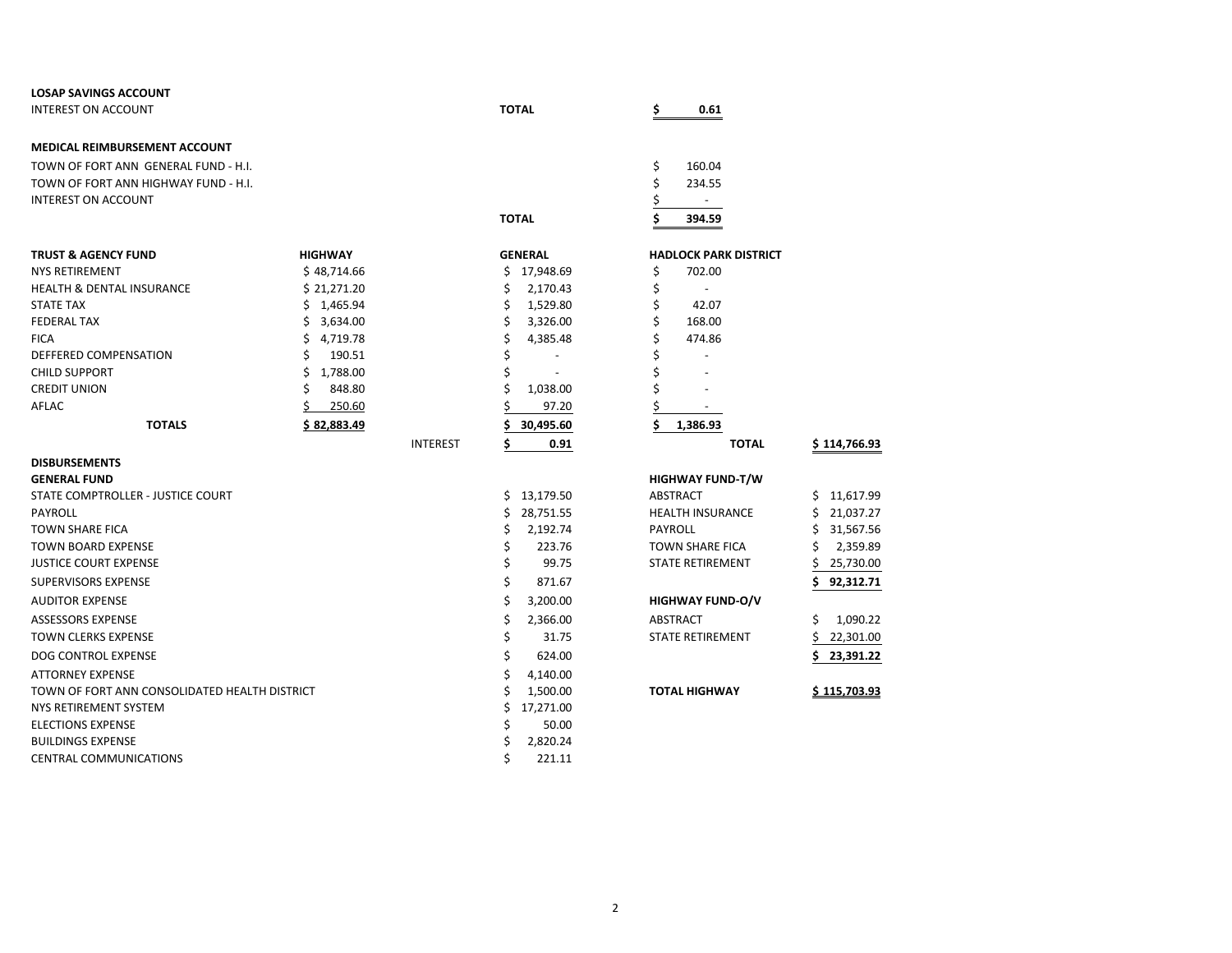| <b>LOSAP SAVINGS ACCOUNT</b>                  |                |                 |                  |                              |                 |
|-----------------------------------------------|----------------|-----------------|------------------|------------------------------|-----------------|
| <b>INTEREST ON ACCOUNT</b>                    |                |                 | <b>TOTAL</b>     | 0.61<br>\$                   |                 |
| <b>MEDICAL REIMBURSEMENT ACCOUNT</b>          |                |                 |                  |                              |                 |
| TOWN OF FORT ANN GENERAL FUND - H.I.          |                |                 |                  | \$<br>160.04                 |                 |
| TOWN OF FORT ANN HIGHWAY FUND - H.I.          |                |                 |                  | \$<br>234.55                 |                 |
| <b>INTEREST ON ACCOUNT</b>                    |                |                 |                  | $\blacksquare$               |                 |
|                                               |                |                 | <b>TOTAL</b>     | 394.59                       |                 |
|                                               |                |                 |                  |                              |                 |
| <b>TRUST &amp; AGENCY FUND</b>                | <b>HIGHWAY</b> |                 | <b>GENERAL</b>   | <b>HADLOCK PARK DISTRICT</b> |                 |
| <b>NYS RETIREMENT</b>                         | \$48,714.66    |                 | \$17,948.69      | \$<br>702.00                 |                 |
| <b>HEALTH &amp; DENTAL INSURANCE</b>          | \$21,271.20    |                 | 2,170.43<br>\$   | \$<br>$\overline{a}$         |                 |
| <b>STATE TAX</b>                              | \$1,465.94     |                 | \$<br>1,529.80   | \$<br>42.07                  |                 |
| <b>FEDERAL TAX</b>                            | \$<br>3,634.00 |                 | \$<br>3,326.00   | \$<br>168.00                 |                 |
| <b>FICA</b>                                   | \$<br>4,719.78 |                 | 4,385.48         | 474.86                       |                 |
| DEFFERED COMPENSATION                         | \$<br>190.51   |                 |                  |                              |                 |
| <b>CHILD SUPPORT</b>                          | 1,788.00<br>\$ |                 |                  |                              |                 |
| <b>CREDIT UNION</b>                           | Ś<br>848.80    |                 | Ś<br>1,038.00    |                              |                 |
| AFLAC                                         | 250.60         |                 | 97.20            |                              |                 |
| <b>TOTALS</b>                                 | \$82,883.49    |                 | 30,495.60        | Ś<br>1,386.93                |                 |
|                                               |                | <b>INTEREST</b> | Ś<br>0.91        | <b>TOTAL</b>                 | \$114,766.93    |
| <b>DISBURSEMENTS</b>                          |                |                 |                  |                              |                 |
| <b>GENERAL FUND</b>                           |                |                 |                  | <b>HIGHWAY FUND-T/W</b>      |                 |
| STATE COMPTROLLER - JUSTICE COURT             |                |                 | \$13,179.50      | <b>ABSTRACT</b>              | \$11,617.99     |
| PAYROLL                                       |                |                 | 28,751.55<br>\$. | <b>HEALTH INSURANCE</b>      | 21,037.27<br>\$ |
| <b>TOWN SHARE FICA</b>                        |                |                 | \$<br>2,192.74   | <b>PAYROLL</b>               | 31,567.56<br>Ś  |
| <b>TOWN BOARD EXPENSE</b>                     |                |                 | 223.76<br>\$     | <b>TOWN SHARE FICA</b>       | Ś<br>2,359.89   |
| <b>JUSTICE COURT EXPENSE</b>                  |                |                 | \$<br>99.75      | <b>STATE RETIREMENT</b>      | Ś<br>25,730.00  |
| <b>SUPERVISORS EXPENSE</b>                    |                |                 | Ś<br>871.67      |                              | Ś.<br>92,312.71 |
| <b>AUDITOR EXPENSE</b>                        |                |                 | Ś<br>3,200.00    | <b>HIGHWAY FUND-O/V</b>      |                 |
| <b>ASSESSORS EXPENSE</b>                      |                |                 | \$<br>2,366.00   | ABSTRACT                     | Ś<br>1,090.22   |
| <b>TOWN CLERKS EXPENSE</b>                    |                |                 | \$<br>31.75      | <b>STATE RETIREMENT</b>      | Ś<br>22,301.00  |
| DOG CONTROL EXPENSE                           |                |                 | Ś<br>624.00      |                              | 23,391.22       |
| <b>ATTORNEY EXPENSE</b>                       |                |                 | \$<br>4,140.00   |                              |                 |
| TOWN OF FORT ANN CONSOLIDATED HEALTH DISTRICT |                |                 | Ś<br>1,500.00    | <b>TOTAL HIGHWAY</b>         | \$115,703.93    |
| NYS RETIREMENT SYSTEM                         |                |                 | Ś<br>17,271.00   |                              |                 |
| <b>ELECTIONS EXPENSE</b>                      |                |                 | 50.00            |                              |                 |
| <b>BUILDINGS EXPENSE</b>                      |                |                 | 2,820.24         |                              |                 |
| <b>CENTRAL COMMUNICATIONS</b>                 |                |                 | Ś<br>221.11      |                              |                 |

| \$                      |     |                     |
|-------------------------|-----|---------------------|
| \$<br>1,386.93          |     |                     |
| <b>TOTAL</b>            |     | \$114,766.93        |
|                         |     |                     |
| <b>HIGHWAY FUND-T/W</b> |     |                     |
| <b>ABSTRACT</b>         | \$  | 11,617.99           |
| <b>HEALTH INSURANCE</b> | \$  | 21,037.27           |
| PAYROLL                 | \$  | 31,567.56           |
| <b>TOWN SHARE FICA</b>  | \$  | 2,359.89            |
| <b>STATE RETIREMENT</b> | \$  | 25,730.00           |
|                         | \$. | 92,312.71           |
| <b>HIGHWAY FUND-O/V</b> |     |                     |
| <b>ABSTRACT</b>         | \$  | 1,090.22            |
| <b>STATE RETIREMENT</b> | \$  | 22,301.00           |
|                         | \$  | 23,391.22           |
|                         |     |                     |
| <b>TOTAL HIGHWAY</b>    |     | <u>\$115.703.93</u> |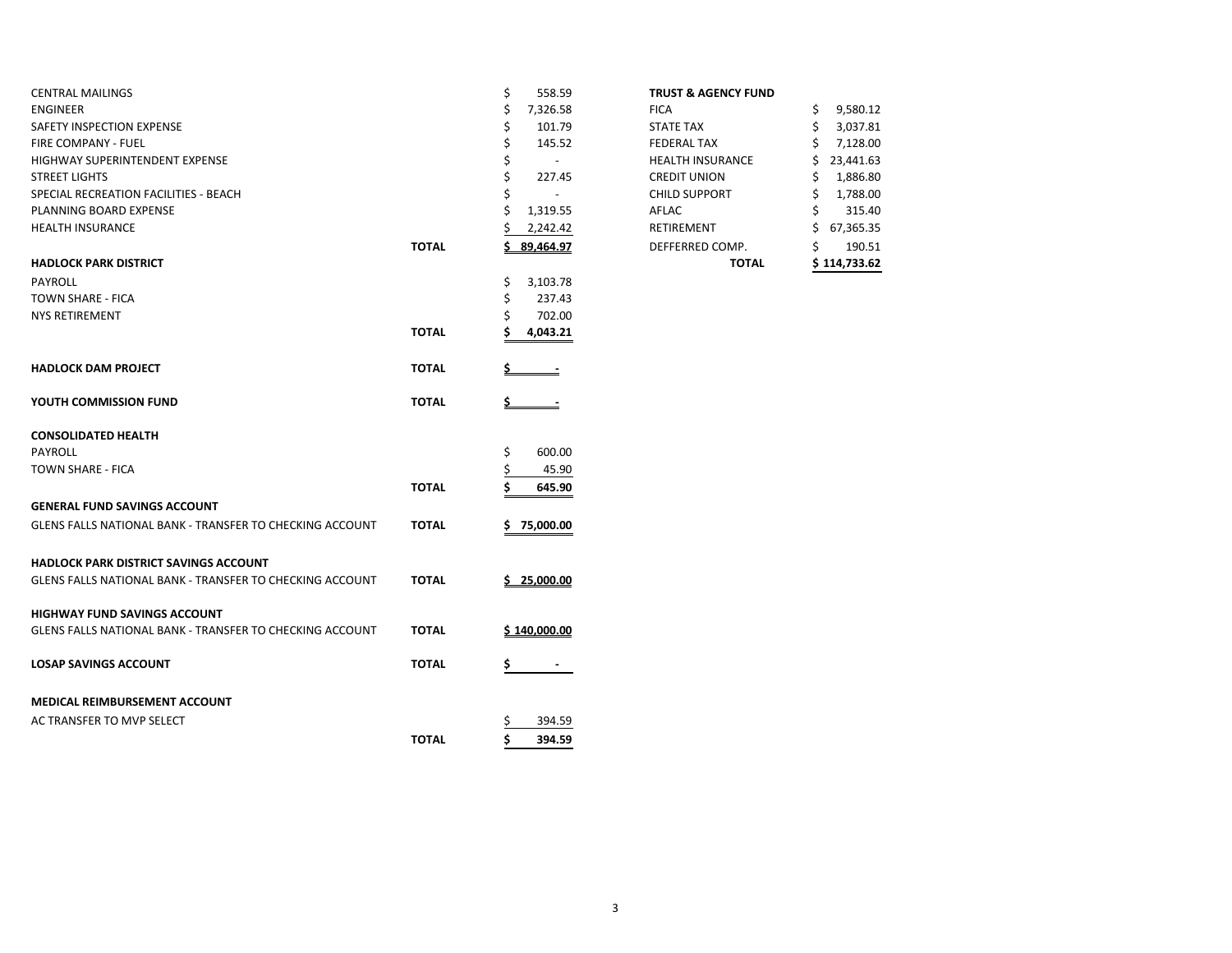| <b>CENTRAL MAILINGS</b>                                         |              | \$<br>558.59   | <b>TRUST &amp; AGENCY FUND</b> |                 |
|-----------------------------------------------------------------|--------------|----------------|--------------------------------|-----------------|
| <b>ENGINEER</b>                                                 |              | Ś<br>7,326.58  | <b>FICA</b>                    | 9,580.12<br>\$  |
| SAFETY INSPECTION EXPENSE                                       |              | Ś<br>101.79    | <b>STATE TAX</b>               | Ś<br>3,037.81   |
| FIRE COMPANY - FUEL                                             |              | \$<br>145.52   | <b>FEDERAL TAX</b>             | 7,128.00        |
| HIGHWAY SUPERINTENDENT EXPENSE                                  |              | \$             | <b>HEALTH INSURANCE</b>        | 23,441.63       |
| <b>STREET LIGHTS</b>                                            |              | Ś<br>227.45    | <b>CREDIT UNION</b>            | 1,886.80        |
| SPECIAL RECREATION FACILITIES - BEACH                           |              |                | <b>CHILD SUPPORT</b>           | 1,788.00<br>Ś   |
| PLANNING BOARD EXPENSE                                          |              | Ś<br>1,319.55  | AFLAC                          | \$<br>315.40    |
| <b>HEALTH INSURANCE</b>                                         |              | 2,242.42       | RETIREMENT                     | \$<br>67,365.35 |
|                                                                 | <b>TOTAL</b> | 89,464.97      | DEFFERRED COMP.                | \$<br>190.51    |
| <b>HADLOCK PARK DISTRICT</b>                                    |              |                | <b>TOTAL</b>                   | \$114,733.62    |
| PAYROLL                                                         |              | \$<br>3,103.78 |                                |                 |
| TOWN SHARE - FICA                                               |              | \$<br>237.43   |                                |                 |
| <b>NYS RETIREMENT</b>                                           |              | 702.00         |                                |                 |
|                                                                 | <b>TOTAL</b> | 4,043.21       |                                |                 |
| <b>HADLOCK DAM PROJECT</b>                                      | <b>TOTAL</b> |                |                                |                 |
| YOUTH COMMISSION FUND                                           | <b>TOTAL</b> | $\equiv$       |                                |                 |
| <b>CONSOLIDATED HEALTH</b>                                      |              |                |                                |                 |
| PAYROLL                                                         |              | 600.00<br>\$   |                                |                 |
| TOWN SHARE - FICA                                               |              | 45.90          |                                |                 |
|                                                                 | <b>TOTAL</b> | 645.90         |                                |                 |
| <b>GENERAL FUND SAVINGS ACCOUNT</b>                             |              |                |                                |                 |
| GLENS FALLS NATIONAL BANK - TRANSFER TO CHECKING ACCOUNT        | <b>TOTAL</b> | 75,000.00      |                                |                 |
| <b>HADLOCK PARK DISTRICT SAVINGS ACCOUNT</b>                    |              |                |                                |                 |
| GLENS FALLS NATIONAL BANK - TRANSFER TO CHECKING ACCOUNT        | <b>TOTAL</b> | 25,000.00      |                                |                 |
| <b>HIGHWAY FUND SAVINGS ACCOUNT</b>                             |              |                |                                |                 |
| <b>GLENS FALLS NATIONAL BANK - TRANSFER TO CHECKING ACCOUNT</b> | <b>TOTAL</b> | S 140.000.00   |                                |                 |
| <b>LOSAP SAVINGS ACCOUNT</b>                                    | <b>TOTAL</b> |                |                                |                 |
| <b>MEDICAL REIMBURSEMENT ACCOUNT</b>                            |              |                |                                |                 |
| AC TRANSFER TO MVP SELECT                                       |              | 394.59         |                                |                 |
|                                                                 | <b>TOTAL</b> | Ś<br>394.59    |                                |                 |

| <b>TRUST &amp; AGENCY FUND</b> |  |
|--------------------------------|--|
|                                |  |

|       |                | TOTAL                   |    | \$114,733.62 |
|-------|----------------|-------------------------|----|--------------|
| TOTAL | 89,464.97      | DEFFERRED COMP.         | \$ | 190.51       |
|       | 2,242.42       | <b>RETIREMENT</b>       | Ś  | 67,365.35    |
|       | \$<br>1,319.55 | AFLAC                   | \$ | 315.40       |
|       | \$             | <b>CHILD SUPPORT</b>    | \$ | 1,788.00     |
|       | \$<br>227.45   | <b>CREDIT UNION</b>     | \$ | 1,886.80     |
|       | \$             | <b>HEALTH INSURANCE</b> | Ś  | 23,441.63    |
|       | \$<br>145.52   | <b>FEDERAL TAX</b>      | \$ | 7,128.00     |
|       | \$<br>101.79   | <b>STATE TAX</b>        | \$ | 3,037.81     |
|       | \$<br>7,326.58 | <b>FICA</b>             | \$ | 9,580.12     |